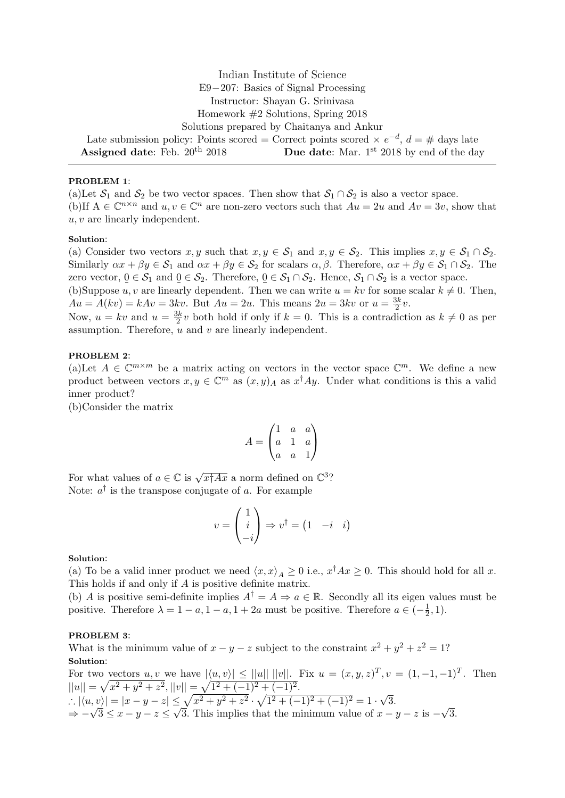Indian Institute of Science E9−207: Basics of Signal Processing Instructor: Shayan G. Srinivasa Homework #2 Solutions, Spring 2018 Solutions prepared by Chaitanya and Ankur Late submission policy: Points scored = Correct points scored  $\times e^{-d}$ ,  $d = \#$  days late **Assigned date:** Feb.  $20^{th}$   $2018$  **Due date:** Mar. 1<sup>st</sup>  $2018$  by end of the day

# PROBLEM 1:

(a)Let  $S_1$  and  $S_2$  be two vector spaces. Then show that  $S_1 \cap S_2$  is also a vector space. (b)If  $A \in \mathbb{C}^{n \times n}$  and  $u, v \in \mathbb{C}^n$  are non-zero vectors such that  $Au = 2u$  and  $Av = 3v$ , show that u, v are linearly independent.

## Solution:

(a) Consider two vectors  $x, y$  such that  $x, y \in S_1$  and  $x, y \in S_2$ . This implies  $x, y \in S_1 \cap S_2$ . Similarly  $\alpha x + \beta y \in S_1$  and  $\alpha x + \beta y \in S_2$  for scalars  $\alpha, \beta$ . Therefore,  $\alpha x + \beta y \in S_1 \cap S_2$ . The zero vector,  $0 \in S_1$  and  $0 \in S_2$ . Therefore,  $0 \in S_1 \cap S_2$ . Hence,  $S_1 \cap S_2$  is a vector space.

(b)Suppose u, v are linearly dependent. Then we can write  $u = kv$  for some scalar  $k \neq 0$ . Then,  $Au = A(kv) = kAv = 3kv$ . But  $Au = 2u$ . This means  $2u = 3kv$  or  $u = \frac{3k}{2}$  $\frac{3k}{2}v.$ 

Now,  $u = kv$  and  $u = \frac{3k}{2}$  $\frac{3k}{2}v$  both hold if only if  $k = 0$ . This is a contradiction as  $k \neq 0$  as per assumption. Therefore,  $\overline{u}$  and  $v$  are linearly independent.

## PROBLEM 2:

(a)Let  $A \in \mathbb{C}^{m \times m}$  be a matrix acting on vectors in the vector space  $\mathbb{C}^m$ . We define a new product between vectors  $x, y \in \mathbb{C}^m$  as  $(x, y)_A$  as  $x^{\dagger}Ay$ . Under what conditions is this a valid inner product?

(b)Consider the matrix

$$
A = \begin{pmatrix} 1 & a & a \\ a & 1 & a \\ a & a & 1 \end{pmatrix}
$$

For what values of  $a \in \mathbb{C}$  is  $\sqrt{x \dagger Ax}$  a norm defined on  $\mathbb{C}^3$ ? Note:  $a^{\dagger}$  is the transpose conjugate of a. For example

$$
v = \begin{pmatrix} 1 \\ i \\ -i \end{pmatrix} \Rightarrow v^{\dagger} = \begin{pmatrix} 1 & -i & i \end{pmatrix}
$$

#### Solution:

(a) To be a valid inner product we need  $\langle x, x \rangle_A \ge 0$  i.e.,  $x^{\dagger}Ax \ge 0$ . This should hold for all x. This holds if and only if A is positive definite matrix.

(b) A is positive semi-definite implies  $A^{\dagger} = A \Rightarrow a \in \mathbb{R}$ . Secondly all its eigen values must be positive. Therefore  $\lambda = 1 - a$ ,  $1 - a$ ,  $1 + 2a$  must be positive. Therefore  $a \in \left(-\frac{1}{2}\right)$  $(\frac{1}{2}, 1).$ 

#### PROBLEM 3:

What is the minimum value of  $x - y - z$  subject to the constraint  $x^2 + y^2 + z^2 = 1$ ? Solution:

For two vectors  $u, v$  we have  $|\langle u, v \rangle| \le ||u|| ||v||$ . Fix  $u = (x, y, z)^T, v = (1, -1, -1)^T$ . Then  $||u|| = \sqrt{x^2 + y^2 + z^2}, ||v|| = \sqrt{1^2 + (-1)^2 + (-1)^2}.$ ∴  $|\langle u, v \rangle| = |x - y - z| \leq \sqrt{x^2 + y^2 + z^2} \cdot \sqrt{1^2 + (-1)^2 + (-1)^2} = 1 \cdot \sqrt{3}.$  $\Rightarrow -\sqrt{3} \le x - y - z \le \sqrt{3}$ . This implies that the minimum value of  $x - y - z$  is  $-\sqrt{3}$ .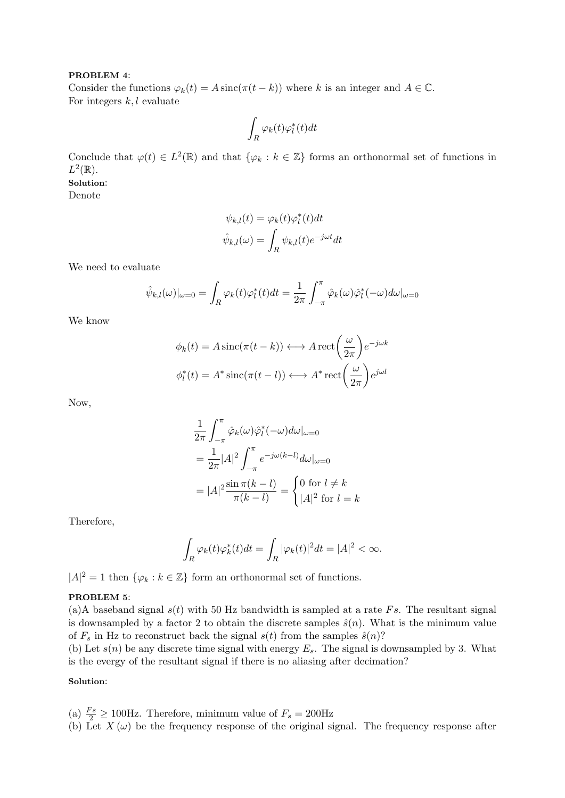#### PROBLEM 4:

Consider the functions  $\varphi_k(t) = A \operatorname{sinc}(\pi(t - k))$  where k is an integer and  $A \in \mathbb{C}$ . For integers  $k, l$  evaluate

$$
\int_R \varphi_k(t) \varphi_l^*(t) dt
$$

Conclude that  $\varphi(t) \in L^2(\mathbb{R})$  and that  $\{\varphi_k : k \in \mathbb{Z}\}\)$  forms an orthonormal set of functions in  $L^2(\mathbb{R})$ .

# Solution:

Denote

$$
\psi_{k,l}(t) = \varphi_k(t)\varphi_l^*(t)dt
$$

$$
\hat{\psi}_{k,l}(\omega) = \int_R \psi_{k,l}(t)e^{-j\omega t}dt
$$

We need to evaluate

$$
\hat{\psi}_{k,l}(\omega)|_{\omega=0} = \int_R \varphi_k(t)\varphi_l^*(t)dt = \frac{1}{2\pi} \int_{-\pi}^{\pi} \hat{\varphi}_k(\omega)\hat{\varphi}_l^*(-\omega)d\omega|_{\omega=0}
$$

We know

$$
\phi_k(t) = A \operatorname{sinc}(\pi(t - k)) \longleftrightarrow A \operatorname{rect}\left(\frac{\omega}{2\pi}\right) e^{-j\omega k}
$$

$$
\phi_l^*(t) = A^* \operatorname{sinc}(\pi(t - l)) \longleftrightarrow A^* \operatorname{rect}\left(\frac{\omega}{2\pi}\right) e^{j\omega l}
$$

Now,

$$
\frac{1}{2\pi} \int_{-\pi}^{\pi} \hat{\varphi}_k(\omega) \hat{\varphi}_l^*(-\omega) d\omega|_{\omega=0}
$$

$$
= \frac{1}{2\pi} |A|^2 \int_{-\pi}^{\pi} e^{-j\omega(k-l)} d\omega|_{\omega=0}
$$

$$
= |A|^2 \frac{\sin \pi(k-l)}{\pi(k-l)} = \begin{cases} 0 \text{ for } l \neq k \\ |A|^2 \text{ for } l = k \end{cases}
$$

Therefore,

$$
\int_R \varphi_k(t)\varphi_k^*(t)dt = \int_R |\varphi_k(t)|^2 dt = |A|^2 < \infty.
$$

 $|A|^2=1$  then  $\{\varphi_k : k \in \mathbb{Z}\}$  form an orthonormal set of functions.

# PROBLEM 5:

(a)A baseband signal  $s(t)$  with 50 Hz bandwidth is sampled at a rate Fs. The resultant signal is downsampled by a factor 2 to obtain the discrete samples  $\hat{s}(n)$ . What is the minimum value of  $F_s$  in Hz to reconstruct back the signal  $s(t)$  from the samples  $\hat{s}(n)$ ?

(b) Let  $s(n)$  be any discrete time signal with energy  $E_s$ . The signal is downsampled by 3. What is the evergy of the resultant signal if there is no aliasing after decimation?

# Solution:

- (a)  $\frac{Fs}{2} \ge 100$ Hz. Therefore, minimum value of  $F_s = 200$ Hz
- (b) Let  $X(\omega)$  be the frequency response of the original signal. The frequency response after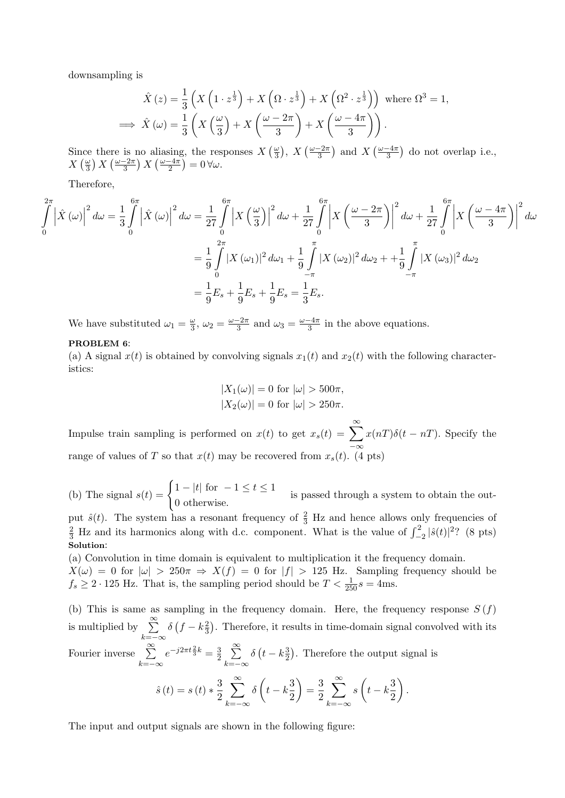downsampling is

$$
\hat{X}(z) = \frac{1}{3} \left( X \left( 1 \cdot z^{\frac{1}{3}} \right) + X \left( \Omega \cdot z^{\frac{1}{3}} \right) + X \left( \Omega^2 \cdot z^{\frac{1}{3}} \right) \right) \text{ where } \Omega^3 = 1,
$$
  
\n
$$
\implies \hat{X}(\omega) = \frac{1}{3} \left( X \left( \frac{\omega}{3} \right) + X \left( \frac{\omega - 2\pi}{3} \right) + X \left( \frac{\omega - 4\pi}{3} \right) \right).
$$

Since there is no aliasing, the responses  $X\left(\frac{\omega}{3}\right)$  $\frac{\omega}{3}$ , X  $\left(\frac{\omega-2\pi}{3}\right)$  and X  $\left(\frac{\omega-4\pi}{3}\right)$  do not overlap i.e.,  $X\left(\frac{\omega}{3}\right)$  $\frac{\omega}{3}$ ) X  $\left(\frac{\omega-2\pi}{3}\right)$  X  $\left(\frac{\omega-4\pi}{2}\right)$  = 0  $\forall \omega$ .

Therefore,

$$
\int_{0}^{2\pi} \left| \hat{X} \left( \omega \right) \right|^{2} d\omega = \frac{1}{3} \int_{0}^{6\pi} \left| \hat{X} \left( \omega \right) \right|^{2} d\omega = \frac{1}{27} \int_{0}^{6\pi} \left| X \left( \frac{\omega}{3} \right) \right|^{2} d\omega + \frac{1}{27} \int_{0}^{6\pi} \left| X \left( \frac{\omega - 2\pi}{3} \right) \right|^{2} d\omega + \frac{1}{27} \int_{0}^{6\pi} \left| X \left( \frac{\omega - 4\pi}{3} \right) \right|^{2} d\omega
$$

$$
= \frac{1}{9} \int_{0}^{2\pi} \left| X \left( \omega_{1} \right) \right|^{2} d\omega_{1} + \frac{1}{9} \int_{-\pi}^{\pi} \left| X \left( \omega_{2} \right) \right|^{2} d\omega_{2} + \frac{1}{9} \int_{-\pi}^{\pi} \left| X \left( \omega_{3} \right) \right|^{2} d\omega_{2}
$$

$$
= \frac{1}{9} E_{s} + \frac{1}{9} E_{s} + \frac{1}{9} E_{s} = \frac{1}{3} E_{s}.
$$

We have substituted  $\omega_1 = \frac{\omega}{3}$  $\frac{\omega}{3}$ ,  $\omega_2 = \frac{\omega - 2\pi}{3}$  and  $\omega_3 = \frac{\omega - 4\pi}{3}$  in the above equations.

## PROBLEM 6:

(a) A signal  $x(t)$  is obtained by convolving signals  $x_1(t)$  and  $x_2(t)$  with the following characteristics:

$$
|X_1(\omega)| = 0 \text{ for } |\omega| > 500\pi,
$$
  

$$
|X_2(\omega)| = 0 \text{ for } |\omega| > 250\pi.
$$

Impulse train sampling is performed on  $x(t)$  to get  $x_s(t) = \sum_{n=0}^{\infty} x(nT)\delta(t - nT)$ . Specify the range of values of T so that  $x(t)$  may be recovered from  $x_s(t)$ . (4 pts)

(b) The signal  $s(t) = \begin{cases} 1 - |t| & \text{for } -1 \leq t \leq 1 \\ 0 & \text{otherwise} \end{cases}$ 0 otherwise. is passed through a system to obtain the out-

put  $\hat{s}(t)$ . The system has a resonant frequency of  $\frac{2}{3}$  Hz and hence allows only frequencies of  $\frac{2}{3}$  Hz and its harmonics along with d.c. component. What is the value of  $\int_{-2}^{2} |\hat{s}(t)|^2$ ? (8 pts) Solution:

(a) Convolution in time domain is equivalent to multiplication it the frequency domain.

 $X(\omega) = 0$  for  $|\omega| > 250\pi \Rightarrow X(f) = 0$  for  $|f| > 125$  Hz. Sampling frequency should be  $f_s \geq 2 \cdot 125$  Hz. That is, the sampling period should be  $T < \frac{1}{250}s = 4$ ms.

(b) This is same as sampling in the frequency domain. Here, the frequency response  $S(f)$ is multiplied by  $\sum_{n=1}^{\infty}$  $k=-\infty$  $\delta \left( f - k \frac{2}{3} \right)$  $\frac{2}{3}$ ). Therefore, it results in time-domain signal convolved with its Fourier inverse  $\sum_{n=1}^{\infty}$  $k=-\infty$  $e^{-j2\pi t \frac{2}{3}k} = \frac{3}{2}$  $\frac{3}{2}$   $\sum_{1}^{\infty}$  $k=-\infty$  $\delta\left(t-k\frac{3}{2}\right)$  $\frac{3}{2}$ ). Therefore the output signal is

$$
\hat{s}(t) = s(t) * \frac{3}{2} \sum_{k=-\infty}^{\infty} \delta\left(t - k\frac{3}{2}\right) = \frac{3}{2} \sum_{k=-\infty}^{\infty} s\left(t - k\frac{3}{2}\right).
$$

The input and output signals are shown in the following figure: